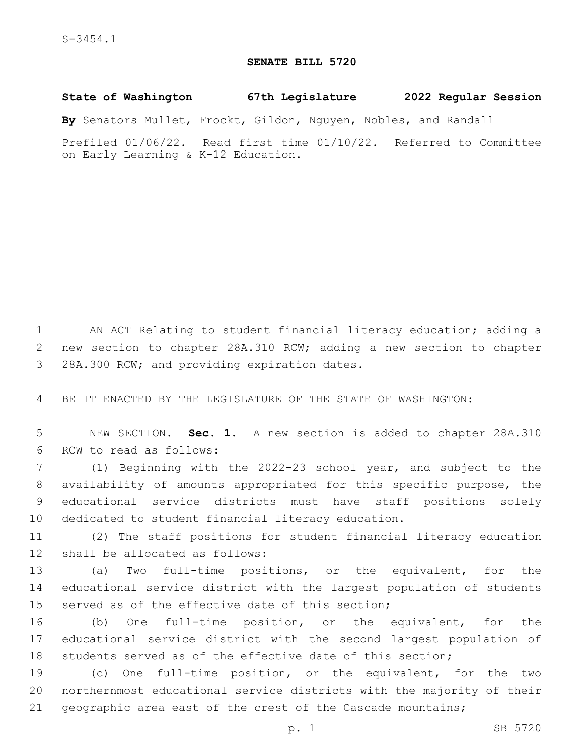## **SENATE BILL 5720**

**State of Washington 67th Legislature 2022 Regular Session**

**By** Senators Mullet, Frockt, Gildon, Nguyen, Nobles, and Randall

Prefiled 01/06/22. Read first time 01/10/22. Referred to Committee on Early Learning & K-12 Education.

1 AN ACT Relating to student financial literacy education; adding a 2 new section to chapter 28A.310 RCW; adding a new section to chapter 3 28A.300 RCW; and providing expiration dates.

4 BE IT ENACTED BY THE LEGISLATURE OF THE STATE OF WASHINGTON:

5 NEW SECTION. **Sec. 1.** A new section is added to chapter 28A.310 6 RCW to read as follows:

 (1) Beginning with the 2022-23 school year, and subject to the availability of amounts appropriated for this specific purpose, the educational service districts must have staff positions solely dedicated to student financial literacy education.

11 (2) The staff positions for student financial literacy education 12 shall be allocated as follows:

13 (a) Two full-time positions, or the equivalent, for the 14 educational service district with the largest population of students 15 served as of the effective date of this section;

16 (b) One full-time position, or the equivalent, for the 17 educational service district with the second largest population of 18 students served as of the effective date of this section;

19 (c) One full-time position, or the equivalent, for the two 20 northernmost educational service districts with the majority of their 21 geographic area east of the crest of the Cascade mountains;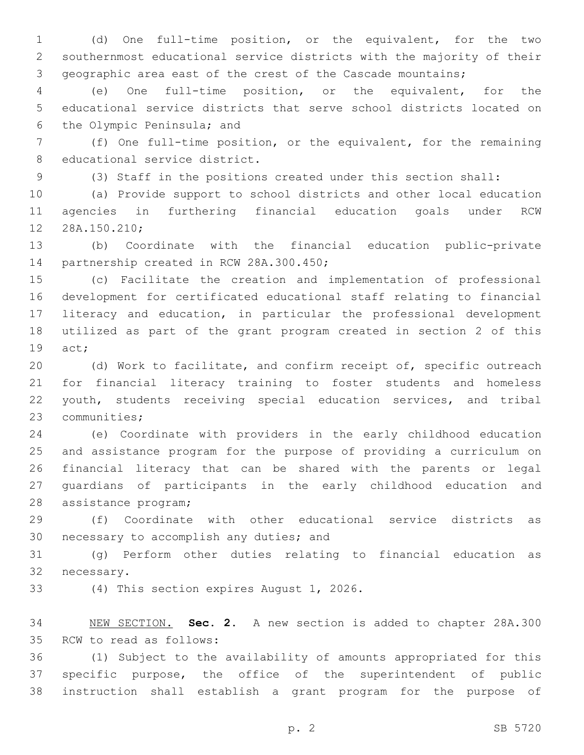(d) One full-time position, or the equivalent, for the two southernmost educational service districts with the majority of their geographic area east of the crest of the Cascade mountains;

 (e) One full-time position, or the equivalent, for the educational service districts that serve school districts located on 6 the Olympic Peninsula; and

 (f) One full-time position, or the equivalent, for the remaining 8 educational service district.

(3) Staff in the positions created under this section shall:

 (a) Provide support to school districts and other local education agencies in furthering financial education goals under RCW 12 28A.150.210;

 (b) Coordinate with the financial education public-private 14 partnership created in RCW 28A.300.450;

 (c) Facilitate the creation and implementation of professional development for certificated educational staff relating to financial literacy and education, in particular the professional development utilized as part of the grant program created in section 2 of this 19 act;

 (d) Work to facilitate, and confirm receipt of, specific outreach for financial literacy training to foster students and homeless youth, students receiving special education services, and tribal 23 communities;

 (e) Coordinate with providers in the early childhood education and assistance program for the purpose of providing a curriculum on financial literacy that can be shared with the parents or legal guardians of participants in the early childhood education and 28 assistance program;

 (f) Coordinate with other educational service districts as 30 necessary to accomplish any duties; and

 (g) Perform other duties relating to financial education as 32 necessary.

33 (4) This section expires August 1, 2026.

 NEW SECTION. **Sec. 2.** A new section is added to chapter 28A.300 35 RCW to read as follows:

 (1) Subject to the availability of amounts appropriated for this specific purpose, the office of the superintendent of public instruction shall establish a grant program for the purpose of

p. 2 SB 5720